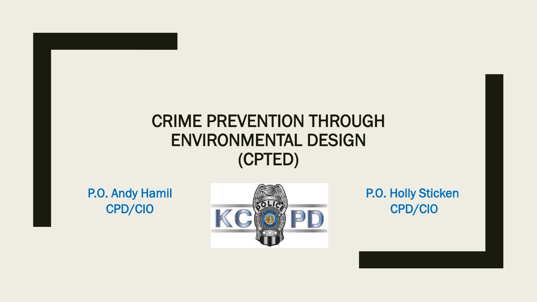#### CRIME PREVENTION THROUGH ENVIRONMENTAL DESIGN (CPTED)

P.O. Andy Hamil CPD/CIO



P.O. Holly Sticken CPD/CIO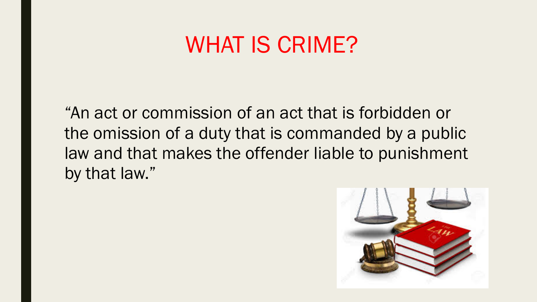#### WHAT IS CRIME?

"An act or commission of an act that is forbidden or the omission of a duty that is commanded by a public law and that makes the offender liable to punishment by that law."

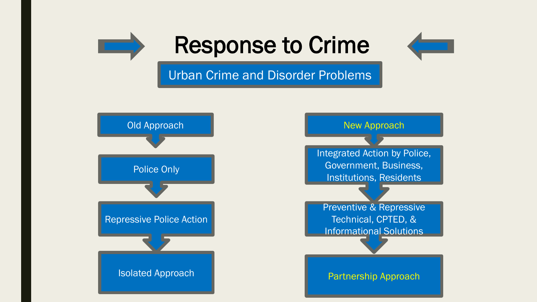

# Response to Crime



#### Urban Crime and Disorder Problems

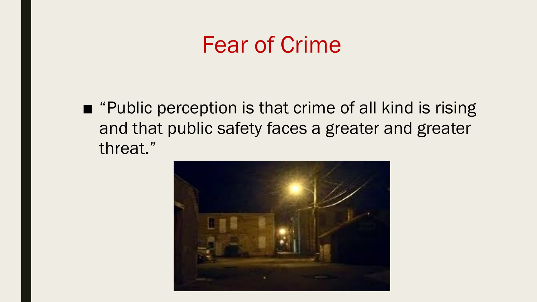#### Fear of Crime

■ "Public perception is that crime of all kind is rising and that public safety faces a greater and greater threat."

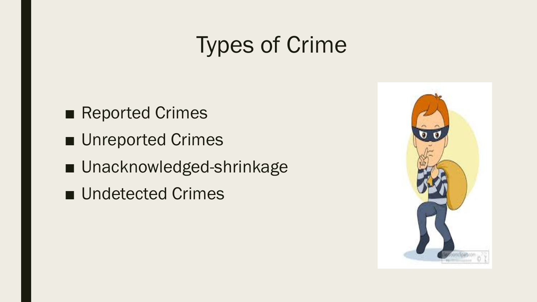# Types of Crime

- Reported Crimes
- Unreported Crimes
- Unacknowledged-shrinkage
- Undetected Crimes

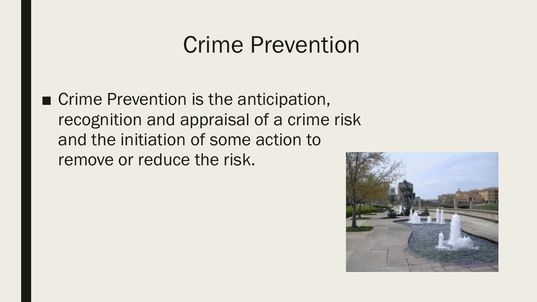# Crime Prevention

■ Crime Prevention is the anticipation, recognition and appraisal of a crime risk and the initiation of some action to remove or reduce the risk.

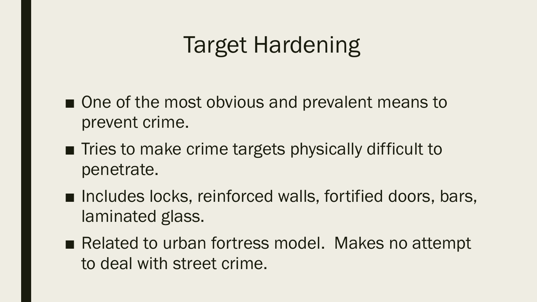# Target Hardening

- One of the most obvious and prevalent means to prevent crime.
- Tries to make crime targets physically difficult to penetrate.
- Includes locks, reinforced walls, fortified doors, bars, laminated glass.
- Related to urban fortress model. Makes no attempt to deal with street crime.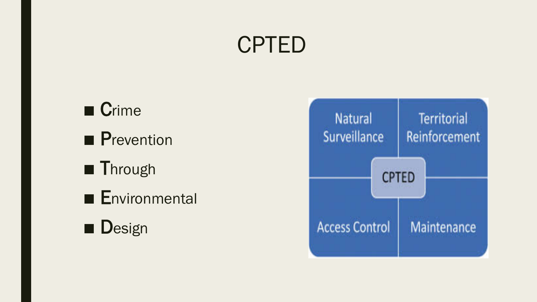# CPTED

■ Crime ■ Prevention ■ Through ■ Environmental ■ Design

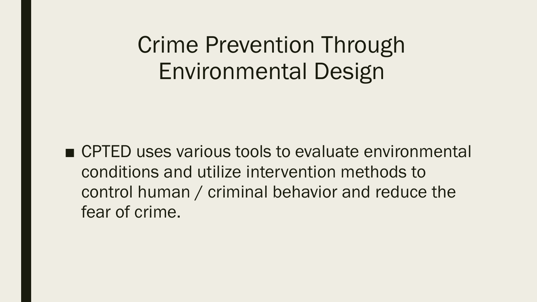# Crime Prevention Through Environmental Design

■ CPTED uses various tools to evaluate environmental conditions and utilize intervention methods to control human / criminal behavior and reduce the fear of crime.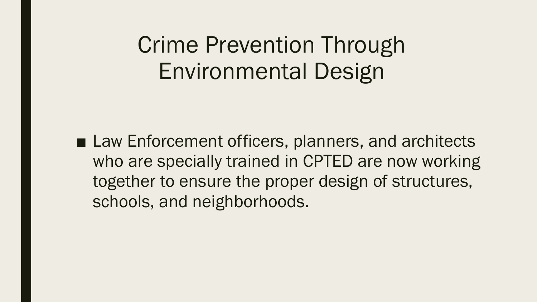# Crime Prevention Through Environmental Design

■ Law Enforcement officers, planners, and architects who are specially trained in CPTED are now working together to ensure the proper design of structures, schools, and neighborhoods.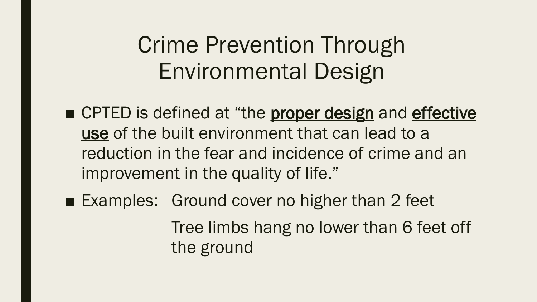# Crime Prevention Through Environmental Design

- CPTED is defined at "the **proper design** and effective use of the built environment that can lead to a reduction in the fear and incidence of crime and an improvement in the quality of life."
- Examples: Ground cover no higher than 2 feet Tree limbs hang no lower than 6 feet off the ground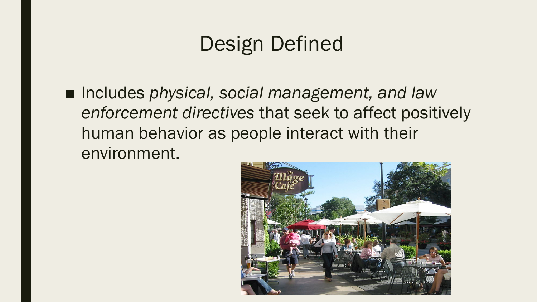### Design Defined

■ Includes *physical, social management, and law enforcement directives* that seek to affect positively human behavior as people interact with their environment.

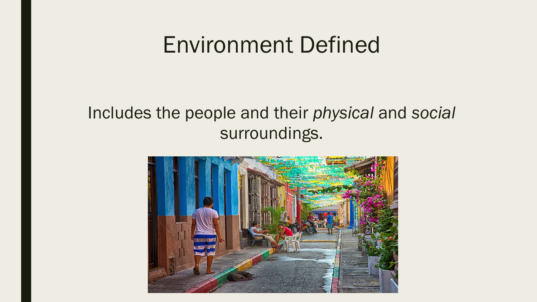#### Environment Defined

#### Includes the people and their *physical* and *social*  surroundings.

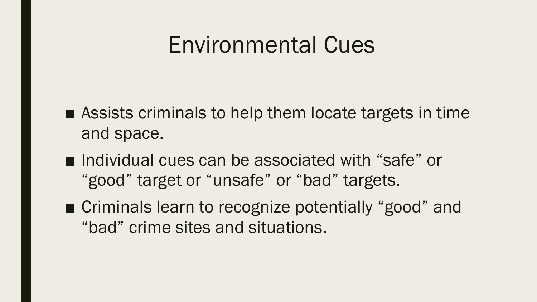### Environmental Cues

- $\blacksquare$  Assists criminals to help them locate targets in time and space.
- Individual cues can be associated with "safe" or "good" target or "unsafe" or "bad" targets.
- Criminals learn to recognize potentially "good" and "bad" crime sites and situations.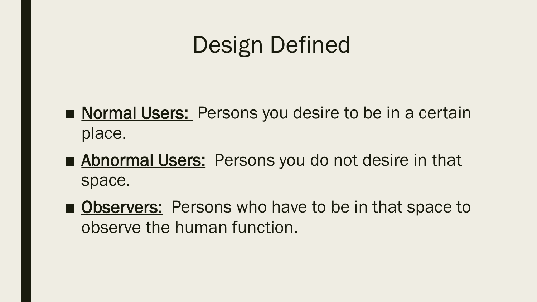# Design Defined

- Normal Users: Persons you desire to be in a certain place.
- Abnormal Users: Persons you do not desire in that space.
- Observers: Persons who have to be in that space to observe the human function.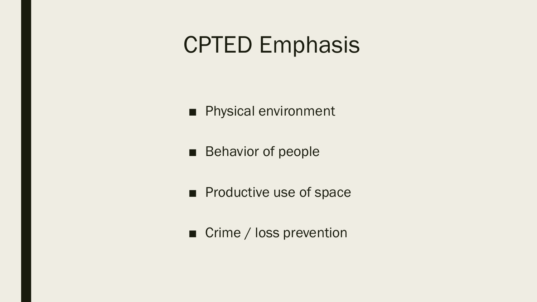### CPTED Emphasis

■ Physical environment

■ Behavior of people

■ Productive use of space

■ Crime / loss prevention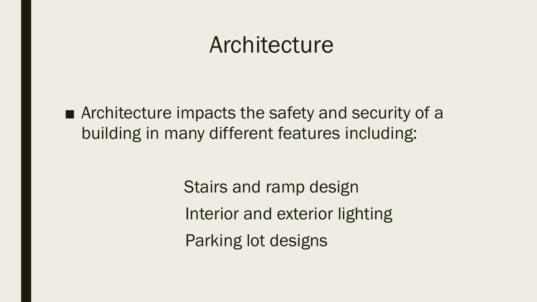#### Architecture

■ Architecture impacts the safety and security of a building in many different features including:

> Stairs and ramp design Interior and exterior lighting Parking lot designs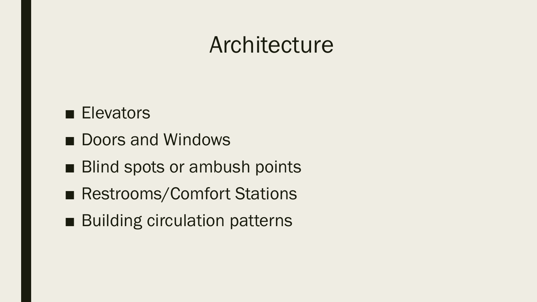### Architecture

#### ■ Elevators

- Doors and Windows
- Blind spots or ambush points
- Restrooms/Comfort Stations
- Building circulation patterns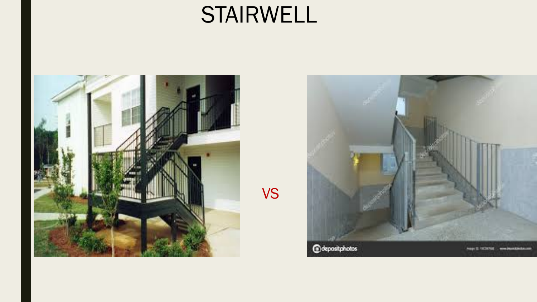# STAIRWELL



VS

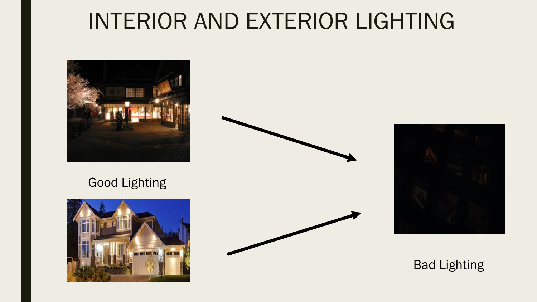# INTERIOR AND EXTERIOR LIGHTING



#### Good Lighting





#### Bad Lighting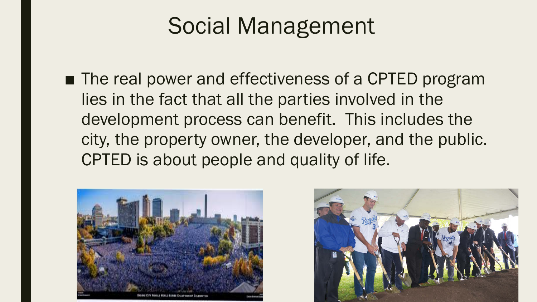# Social Management

■ The real power and effectiveness of a CPTED program lies in the fact that all the parties involved in the development process can benefit. This includes the city, the property owner, the developer, and the public. CPTED is about people and quality of life.



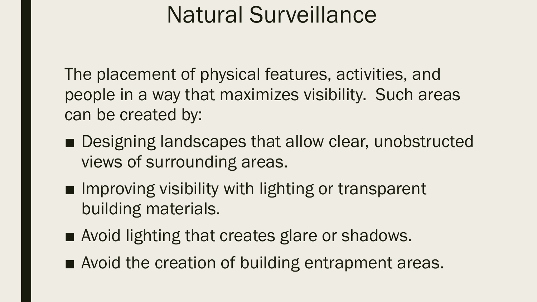# Natural Surveillance

The placement of physical features, activities, and people in a way that maximizes visibility. Such areas can be created by:

- Designing landscapes that allow clear, unobstructed views of surrounding areas.
- Improving visibility with lighting or transparent building materials.
- Avoid lighting that creates glare or shadows.
- Avoid the creation of building entrapment areas.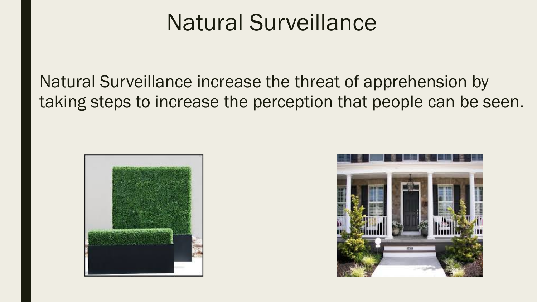# Natural Surveillance

Natural Surveillance increase the threat of apprehension by taking steps to increase the perception that people can be seen.



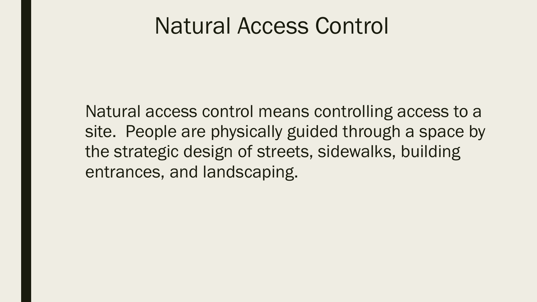#### Natural Access Control

Natural access control means controlling access to a site. People are physically guided through a space by the strategic design of streets, sidewalks, building entrances, and landscaping.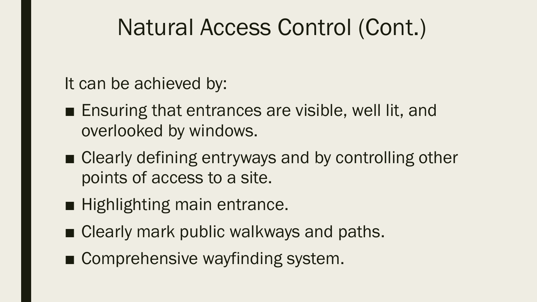# Natural Access Control (Cont.)

It can be achieved by:

- Ensuring that entrances are visible, well lit, and overlooked by windows.
- Clearly defining entryways and by controlling other points of access to a site.
- Highlighting main entrance.
- Clearly mark public walkways and paths.
- Comprehensive wayfinding system.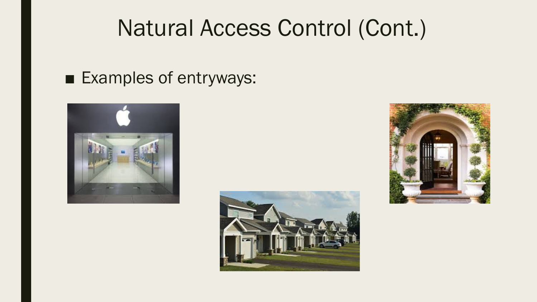# Natural Access Control (Cont.)

#### ■ Examples of entryways:





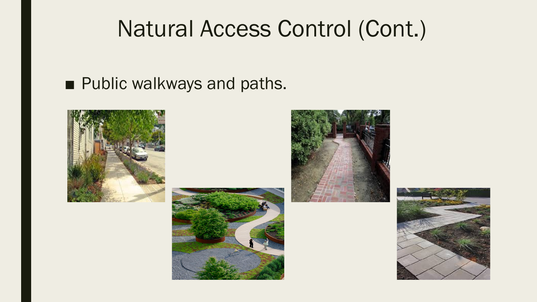# Natural Access Control (Cont.)

#### ■ Public walkways and paths.







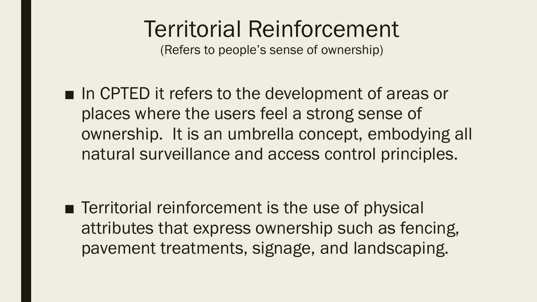# Territorial Reinforcement

(Refers to people's sense of ownership)

■ In CPTED it refers to the development of areas or places where the users feel a strong sense of ownership. It is an umbrella concept, embodying all natural surveillance and access control principles.

■ Territorial reinforcement is the use of physical attributes that express ownership such as fencing, pavement treatments, signage, and landscaping.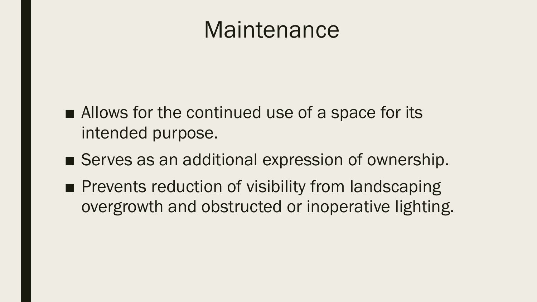### Maintenance

- Allows for the continued use of a space for its intended purpose.
- Serves as an additional expression of ownership.
- Prevents reduction of visibility from landscaping overgrowth and obstructed or inoperative lighting.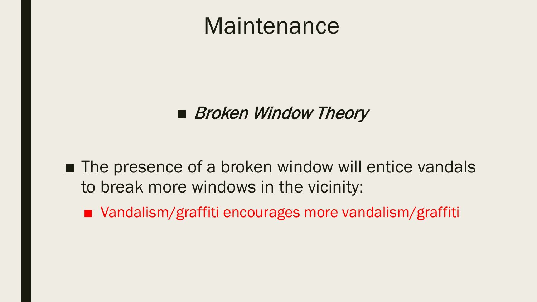### Maintenance

#### ■ Broken Window Theory

- The presence of a broken window will entice vandals to break more windows in the vicinity:
	- Vandalism/graffiti encourages more vandalism/graffiti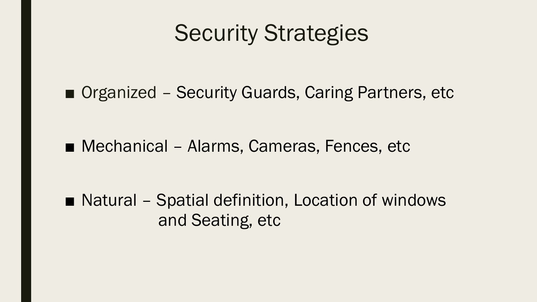# Security Strategies

■ Organized - Security Guards, Caring Partners, etc

■ Mechanical – Alarms, Cameras, Fences, etc

■ Natural – Spatial definition, Location of windows and Seating, etc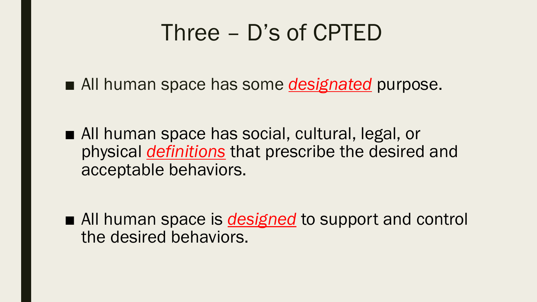# Three – D's of CPTED

■ All human space has some *designated* purpose.

■ All human space has social, cultural, legal, or physical *definitions* that prescribe the desired and acceptable behaviors.

■ All human space is *designed* to support and control the desired behaviors.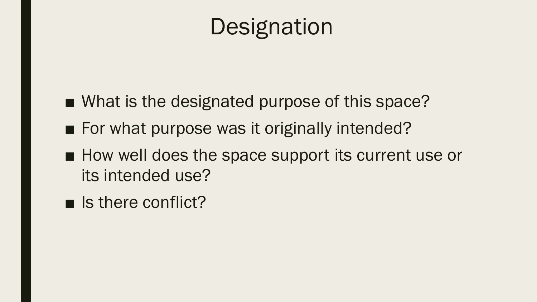# **Designation**

- What is the designated purpose of this space?
- For what purpose was it originally intended?
- How well does the space support its current use or its intended use?
- Is there conflict?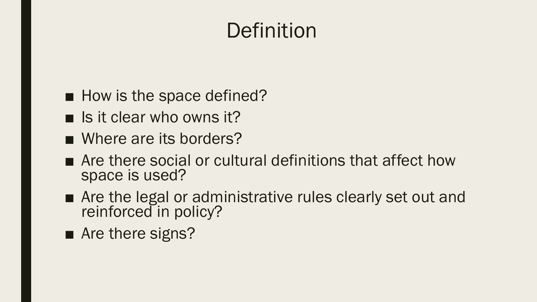## **Definition**

- How is the space defined?
- $\blacksquare$  Is it clear who owns it?
- Where are its borders?
- Are there social or cultural definitions that affect how space is used?
- Are the legal or administrative rules clearly set out and reinforced in policy?
- Are there signs?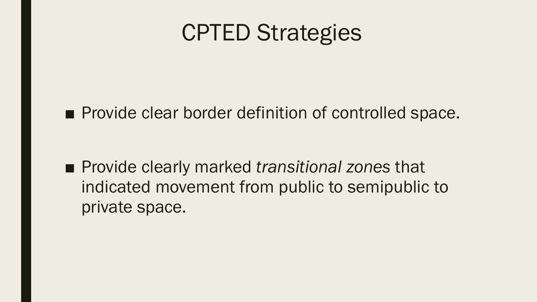# CPTED Strategies

■ Provide clear border definition of controlled space.

■ Provide clearly marked *transitional zones* that indicated movement from public to semipublic to private space.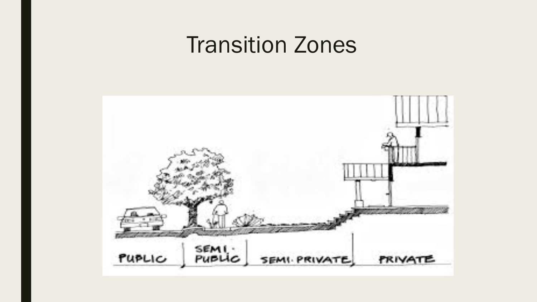## **Transition Zones**

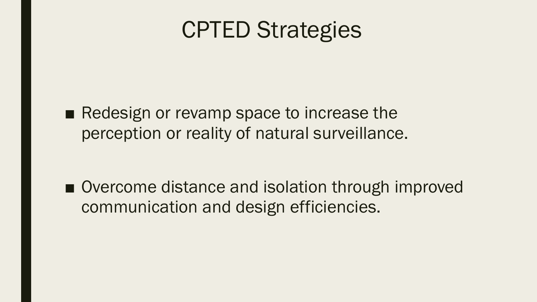# CPTED Strategies

■ Redesign or revamp space to increase the perception or reality of natural surveillance.

■ Overcome distance and isolation through improved communication and design efficiencies.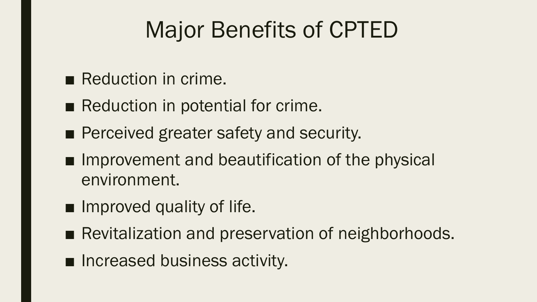# Major Benefits of CPTED

- Reduction in crime.
- Reduction in potential for crime.
- Perceived greater safety and security.
- Improvement and beautification of the physical environment.
- Improved quality of life.
- Revitalization and preservation of neighborhoods.
- Increased business activity.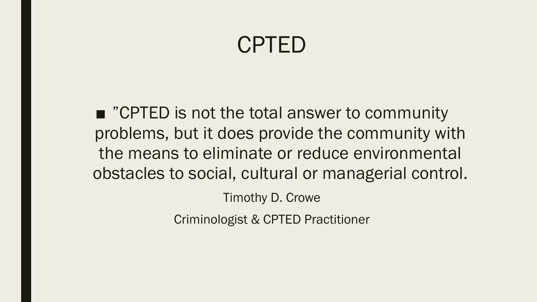## CPTED

■ "CPTED is not the total answer to community problems, but it does provide the community with the means to eliminate or reduce environmental obstacles to social, cultural or managerial control.

Timothy D. Crowe

Criminologist & CPTED Practitioner